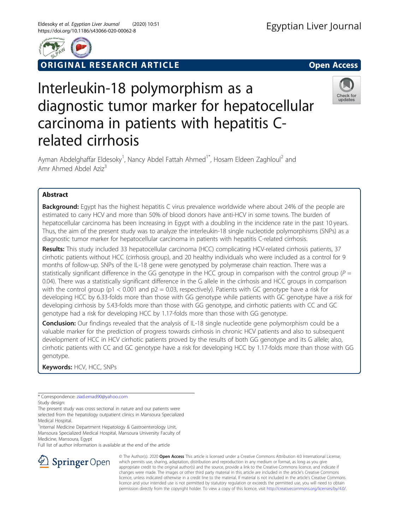

**RIGINAL RESEARCH ARTICLE CONSIDERING OPEN ACCESS** 

# Interleukin-18 polymorphism as a diagnostic tumor marker for hepatocellular carcinoma in patients with hepatitis Crelated cirrhosis



Ayman Abdelghaffar Eldesoky<sup>1</sup>, Nancy Abdel Fattah Ahmed<sup>1\*</sup>, Hosam Eldeen Zaghloul<sup>2</sup> and Amr Ahmed Abdel Aziz<sup>3</sup>

# Abstract

**Background:** Egypt has the highest hepatitis C virus prevalence worldwide where about 24% of the people are estimated to carry HCV and more than 50% of blood donors have anti-HCV in some towns. The burden of hepatocellular carcinoma has been increasing in Egypt with a doubling in the incidence rate in the past 10 years. Thus, the aim of the present study was to analyze the interleukin-18 single nucleotide polymorphisms (SNPs) as a diagnostic tumor marker for hepatocellular carcinoma in patients with hepatitis C-related cirrhosis.

Results: This study included 33 hepatocellular carcinoma (HCC) complicating HCV-related cirrhosis patients, 37 cirrhotic patients without HCC (cirrhosis group), and 20 healthy individuals who were included as a control for 9 months of follow-up. SNPs of the IL-18 gene were genotyped by polymerase chain reaction. There was a statistically significant difference in the GG genotype in the HCC group in comparison with the control group ( $P =$ 0.04). There was a statistically significant difference in the G allele in the cirrhosis and HCC groups in comparison with the control group (p1 < 0.001 and p2 = 0.03, respectively). Patients with GC genotype have a risk for developing HCC by 6.33-folds more than those with GG genotype while patients with GC genotype have a risk for developing cirrhosis by 5.43-folds more than those with GG genotype, and cirrhotic patients with CC and GC genotype had a risk for developing HCC by 1.17-folds more than those with GG genotype.

**Conclusion:** Our findings revealed that the analysis of IL-18 single nucleotide gene polymorphism could be a valuable marker for the prediction of progress towards cirrhosis in chronic HCV patients and also to subsequent development of HCC in HCV cirrhotic patients proved by the results of both GG genotype and its G allele; also, cirrhotic patients with CC and GC genotype have a risk for developing HCC by 1.17-folds more than those with GG genotype.

Keywords: HCV, HCC, SNPs

\* Correspondence: [ziad.emad90@yahoo.com](mailto:ziad.emad90@yahoo.com)

Study design:

The present study was cross sectional in nature and our patients were selected from the hepatology outpatient clinics in Mansoura Specialized Medical Hospital.

<sup>1</sup>Internal Medicine Department Hepatology & Gastroenterology Unit, Mansoura Specialized Medical Hospital, Mansoura University Faculty of Medicine, Mansoura, Egypt

Full list of author information is available at the end of the article



© The Author(s). 2020 Open Access This article is licensed under a Creative Commons Attribution 4.0 International License, which permits use, sharing, adaptation, distribution and reproduction in any medium or format, as long as you give appropriate credit to the original author(s) and the source, provide a link to the Creative Commons licence, and indicate if changes were made. The images or other third party material in this article are included in the article's Creative Commons licence, unless indicated otherwise in a credit line to the material. If material is not included in the article's Creative Commons licence and your intended use is not permitted by statutory regulation or exceeds the permitted use, you will need to obtain permission directly from the copyright holder. To view a copy of this licence, visit <http://creativecommons.org/licenses/by/4.0/>.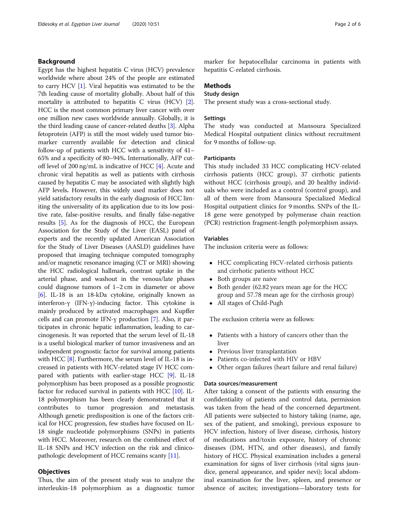#### Background

Egypt has the highest hepatitis C virus (HCV) prevalence worldwide where about 24% of the people are estimated to carry HCV [\[1](#page-5-0)]. Viral hepatitis was estimated to be the 7th leading cause of mortality globally. About half of this mortality is attributed to hepatitis C virus (HCV) [[2](#page-5-0)]. HCC is the most common primary liver cancer with over one million new cases worldwide annually. Globally, it is the third leading cause of cancer-related deaths [[3](#page-5-0)]. Alpha fetoprotein (AFP) is still the most widely used tumor biomarker currently available for detection and clinical follow-up of patients with HCC with a sensitivity of 41– 65% and a specificity of 80–94%. Internationally, AFP cutoff level of 200 ng/mL is indicative of HCC [\[4\]](#page-5-0). Acute and chronic viral hepatitis as well as patients with cirrhosis caused by hepatitis C may be associated with slightly high AFP levels. However, this widely used marker does not yield satisfactory results in the early diagnosis of HCC limiting the universality of its application due to its low positive rate, false-positive results, and finally false-negative results [\[5](#page-5-0)]. As for the diagnosis of HCC, the European Association for the Study of the Liver (EASL) panel of experts and the recently updated American Association for the Study of Liver Diseases (AASLD) guidelines have proposed that imaging technique computed tomography and/or magnetic resonance imaging (CT or MRI) showing the HCC radiological hallmark, contrast uptake in the arterial phase, and washout in the venous/late phases could diagnose tumors of 1–2 cm in diameter or above [[6\]](#page-5-0). IL-18 is an 18-kDa cytokine, originally known as interferon-γ (IFN-γ)-inducing factor. This cytokine is mainly produced by activated macrophages and Kupffer cells and can promote IFN-γ production [\[7](#page-5-0)]. Also, it participates in chronic hepatic inflammation, leading to carcinogenesis. It was reported that the serum level of IL-18 is a useful biological marker of tumor invasiveness and an independent prognostic factor for survival among patients with HCC [\[8](#page-5-0)]. Furthermore, the serum level of IL-18 is increased in patients with HCV-related stage IV HCC compared with patients with earlier-stage HCC [\[9\]](#page-5-0). IL-18 polymorphism has been proposed as a possible prognostic factor for reduced survival in patients with HCC [\[10\]](#page-5-0). IL-18 polymorphism has been clearly demonstrated that it contributes to tumor progression and metastasis. Although genetic predisposition is one of the factors critical for HCC progression, few studies have focused on IL-18 single nucleotide polymorphisms (SNPs) in patients with HCC. Moreover, research on the combined effect of IL-18 SNPs and HCV infection on the risk and clinicopathologic development of HCC remains scanty [\[11\]](#page-5-0).

#### **Objectives**

Thus, the aim of the present study was to analyze the interleukin-18 polymorphism as a diagnostic tumor marker for hepatocellular carcinoma in patients with hepatitis C-related cirrhosis.

#### Methods

# Study design

The present study was a cross-sectional study.

#### **Settings**

The study was conducted at Mansoura Specialized Medical Hospital outpatient clinics without recruitment for 9 months of follow-up.

#### **Participants**

This study included 33 HCC complicating HCV-related cirrhosis patients (HCC group), 37 cirrhotic patients without HCC (cirrhosis group), and 20 healthy individuals who were included as a control (control group), and all of them were from Mansoura Specialized Medical Hospital outpatient clinics for 9 months. SNPs of the IL-18 gene were genotyped by polymerase chain reaction (PCR) restriction fragment-length polymorphism assays.

#### Variables

The inclusion criteria were as follows:

- HCC complicating HCV-related cirrhosis patients and cirrhotic patients without HCC
- Both groups are naive
- Both gender (62.82 years mean age for the HCC group and 57.78 mean age for the cirrhosis group)
- All stages of Child-Pugh

The exclusion criteria were as follows:

- Patients with a history of cancers other than the liver
- Previous liver transplantation
- Patients co-infected with HIV or HBV
- Other organ failures (heart failure and renal failure)

#### Data sources/measurement

After taking a consent of the patients with ensuring the confidentiality of patients and control data, permission was taken from the head of the concerned department. All patients were subjected to history taking (name, age, sex of the patient, and smoking), previous exposure to HCV infection, history of liver disease, cirrhosis, history of medications and/toxin exposure, history of chronic diseases (DM, HTN, and other diseases), and family history of HCC. Physical examination includes a general examination for signs of liver cirrhosis (vital signs jaundice, general appearance, and spider nevi); local abdominal examination for the liver, spleen, and presence or absence of ascites; investigations—laboratory tests for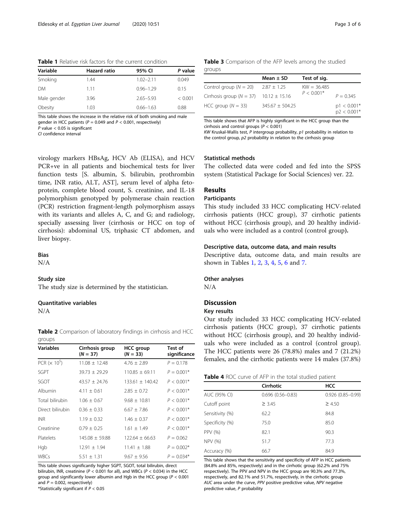| Variable    | <b>Hazard ratio</b> | 95% CI        | P value |
|-------------|---------------------|---------------|---------|
| Smoking     | 1.44                | $1.02 - 2.11$ | 0.049   |
| <b>DM</b>   | 111                 | $0.96 - 1.29$ | 0.15    |
| Male gender | 3.96                | $2.65 - 5.93$ | < 0.001 |
| Obesity     | 1.03                | $0.66 - 1.63$ | 0.88    |

This table shows the increase in the relative risk of both smoking and male gender in HCC patients ( $P = 0.049$  and  $P < 0.001$ , respectively)  $P$  value  $< 0.05$  is significant

CI confidence interval

Table 3 Comparison of the AFP levels among the studied groups

|                                                | Mean $\pm$ SD       | Test of sig.  |                                |
|------------------------------------------------|---------------------|---------------|--------------------------------|
| Control group ( $N = 20$ )                     | $2.87 \pm 1.25$     | $KW = 36.485$ |                                |
| Cirrhosis group ( $N = 37$ ) 10.12 $\pm$ 15.16 |                     | $P < 0.001*$  | $P = 0.345$                    |
| HCC group ( $N = 33$ )                         | $345.67 \pm 504.25$ |               | $p1 < 0.001*$<br>$p2 < 0.001*$ |

This table shows that AFP is highly significant in the HCC group than the cirrhosis and control groups (P < 0.001) KW Kruskal-Wallis test,  $P$  intergroup probability,  $p1$  probability in relation to

the control group, p2 probability in relation to the cirrhosis group

# Statistical methods

The collected data were coded and fed into the SPSS system (Statistical Package for Social Sciences) ver. 22.

# Results

#### **Participants**

This study included 33 HCC complicating HCV-related cirrhosis patients (HCC group), 37 cirrhotic patients without HCC (cirrhosis group), and 20 healthy individuals who were included as a control (control group).

#### Descriptive data, outcome data, and main results

Descriptive data, outcome data, and main results are shown in Tables 1, 2, 3, 4, [5,](#page-3-0) [6](#page-3-0) and [7.](#page-4-0)

#### Other analyses

N/A

# Discussion

### Key results

Our study included 33 HCC complicating HCV-related cirrhosis patients (HCC group), 37 cirrhotic patients without HCC (cirrhosis group), and 20 healthy individuals who were included as a control (control group). The HCC patients were 26 (78.8%) males and 7 (21.2%) females, and the cirrhotic patients were 14 males (37.8%)

| Table 4 ROC curve of AFP in the total studied patient |  |
|-------------------------------------------------------|--|
|-------------------------------------------------------|--|

|                 | Cirrhotic            | <b>HCC</b>           |
|-----------------|----------------------|----------------------|
| AUC (95% CI)    | $0.696(0.56 - 0.83)$ | $0.926(0.85 - 0.99)$ |
| Cutoff point    | $\geq 3.45$          | $\geq 4.50$          |
| Sensitivity (%) | 62.2                 | 84.8                 |
| Specificity (%) | 75.0                 | 85.0                 |
| PPV (%)         | 82.1                 | 90.3                 |
| <b>NPV (%)</b>  | 51.7                 | 77.3                 |
| Accuracy (%)    | 66.7                 | 84.9                 |

This table shows that the sensitivity and specificity of AFP in HCC patients (84.8% and 85%, respectively) and in the cirrhotic group (62.2% and 75% respectively). The PPV and NPV in the HCC group are 90.3% and 77.3%, respectively, and 82.1% and 51.7%, respectively, in the cirrhotic group AUC area under the curve, PPV positive predictive value, NPV negative predictive value, P probability

PCR+ve in all patients and biochemical tests for liver function tests [S. albumin, S. bilirubin, prothrombin time, INR ratio, ALT, AST], serum level of alpha fetoprotein, complete blood count, S. creatinine, and IL-18 polymorphism genotyped by polymerase chain reaction (PCR) restriction fragment-length polymorphism assays with its variants and alleles A, C, and G; and radiology, specially assessing liver (cirrhosis or HCC on top of cirrhosis): abdominal US, triphasic CT abdomen, and liver biopsy.

virology markers HBsAg, HCV Ab (ELISA), and HCV

# Bias

N/A

#### Study size

The study size is determined by the statistician.

#### Quantitative variables

N/A

Table 2 Comparison of laboratory findings in cirrhosis and HCC groups

| <b>Variables</b>                 | Cirrhosis group<br>$(N = 37)$ | <b>HCC</b> group<br>$(N = 33)$ | Test of<br>significance |
|----------------------------------|-------------------------------|--------------------------------|-------------------------|
| PCR ( $\times$ 10 <sup>5</sup> ) | $11.08 \pm 12.48$             | $4.76 \pm 2.89$                | $P = 0.178$             |
| SGPT                             | $39.73 + 29.29$               | $110.85 + 69.11$               | $P = 0.001*$            |
| SGOT                             | $43.57 \pm 24.76$             | $133.61 + 140.42$              | $P < 0.001*$            |
| Albumin                          | $4.11 + 0.61$                 | $2.85 + 0.72$                  | $P < 0.001*$            |
| Total bilirubin                  | $1.06 + 0.67$                 | $9.68 \pm 10.81$               | $P < 0.001*$            |
| Direct bilirubin                 | $0.36 + 0.33$                 | $6.67 + 7.86$                  | $P < 0.001*$            |
| <b>INR</b>                       | $1.19 \pm 0.32$               | $1.46 \pm 0.37$                | $P < 0.001*$            |
| Creatinine                       | $0.79 + 0.25$                 | $1.61 \pm 1.49$                | $P < 0.001*$            |
| <b>Platelets</b>                 | $145.08 + 59.88$              | $122.64 + 66.63$               | $P = 0.062$             |
| Hgb                              | $12.91 + 1.94$                | $11.41 \pm 1.88$               | $P = 0.002*$            |
| <b>WBCs</b>                      | $5.51 + 1.31$                 | $9.67 + 9.56$                  | $P = 0.034*$            |

This table shows significantly higher SGPT, SGOT, total bilirubin, direct bilirubin, INR, creatinine ( $P < 0.001$  for all), and WBCs ( $P < 0.034$ ) in the HCC group and significantly lower albumin and Hgb in the HCC group ( $P < 0.001$ ) and  $P = 0.002$ , respectively)

\*Statistically significant if  $P < 0.05$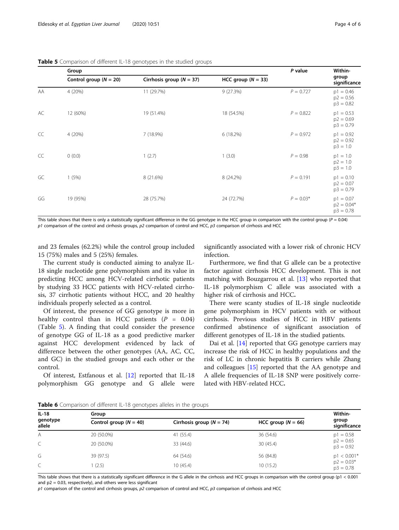|    | Group                      |                              |                      | P value     | Within-                                    |
|----|----------------------------|------------------------------|----------------------|-------------|--------------------------------------------|
|    | Control group ( $N = 20$ ) | Cirrhosis group ( $N = 37$ ) | HCC group $(N = 33)$ |             | group<br>significance                      |
| AA | 4 (20%)                    | 11 (29.7%)                   | 9(27.3%)             | $P = 0.727$ | $p1 = 0.46$<br>$p2 = 0.56$<br>$p3 = 0.82$  |
| AC | 12 (60%)                   | 19 (51.4%)                   | 18 (54.5%)           | $P = 0.822$ | $p1 = 0.53$<br>$p2 = 0.69$<br>$p3 = 0.79$  |
| CC | 4 (20%)                    | 7 (18.9%)                    | 6(18.2%)             | $P = 0.972$ | $p1 = 0.92$<br>$p2 = 0.92$<br>$p3 = 1.0$   |
| CC | 0(0.0)                     | 1(2.7)                       | 1(3.0)               | $P = 0.98$  | $p1 = 1.0$<br>$p2 = 1.0$<br>$p3 = 1.0$     |
| GC | 1(5%)                      | 8 (21.6%)                    | 8 (24.2%)            | $P = 0.191$ | $p1 = 0.10$<br>$p2 = 0.07$<br>$p3 = 0.79$  |
| GG | 19 (95%)                   | 28 (75.7%)                   | 24 (72.7%)           | $P = 0.03*$ | $p1 = 0.07$<br>$p2 = 0.04*$<br>$p3 = 0.78$ |

<span id="page-3-0"></span>Table 5 Comparison of different IL-18 genotypes in the studied groups

This table shows that there is only a statistically significant difference in the GG genotype in the HCC group in comparison with the control group ( $P = 0.04$ )  $p1$  comparison of the control and cirrhosis groups,  $p2$  comparison of control and HCC,  $p3$  comparison of cirrhosis and HCC

and 23 females (62.2%) while the control group included 15 (75%) males and 5 (25%) females.

The current study is conducted aiming to analyze IL-18 single nucleotide gene polymorphism and its value in predicting HCC among HCV-related cirrhotic patients by studying 33 HCC patients with HCV-related cirrhosis, 37 cirrhotic patients without HCC, and 20 healthy individuals properly selected as a control.

Of interest, the presence of GG genotype is more in healthy control than in HCC patients  $(P = 0.04)$ (Table 5). A finding that could consider the presence of genotype GG of IL-18 as a good predictive marker against HCC development evidenced by lack of difference between the other genotypes (AA, AC, CC, and GC) in the studied groups and each other or the control.

Of interest, Estfanous et al. [\[12](#page-5-0)] reported that IL-18 polymorphism GG genotype and G allele were significantly associated with a lower risk of chronic HCV infection.

Furthermore, we find that G allele can be a protective factor against cirrhosis HCC development. This is not matching with Bouzgarrou et al. [\[13](#page-5-0)] who reported that IL-18 polymorphism C allele was associated with a higher risk of cirrhosis and HCC.

There were scanty studies of IL-18 single nucleotide gene polymorphism in HCV patients with or without cirrhosis. Previous studies of HCC in HBV patients confirmed abstinence of significant association of different genotypes of IL-18 in the studied patients.

Dai et al. [\[14](#page-5-0)] reported that GG genotype carriers may increase the risk of HCC in healthy populations and the risk of LC in chronic hepatitis B carriers while Zhang and colleagues [\[15](#page-5-0)] reported that the AA genotype and A allele frequencies of IL-18 SNP were positively correlated with HBV-related HCC.

Table 6 Comparison of different IL-18 genotypes alleles in the groups

| $IL-18$<br>genotype<br>allele | Group                    |                              |                        |                             |  |
|-------------------------------|--------------------------|------------------------------|------------------------|-----------------------------|--|
|                               | Control group $(N = 40)$ | Cirrhosis group ( $N = 74$ ) | HCC group ( $N = 66$ ) | group<br>significance       |  |
| A                             | 20 (50.0%)               | 41 (55.4)                    | 36 (54.6)              | $p1 = 0.58$                 |  |
|                               | 20 (50.0%)               | 33 (44.6)                    | 30(45.4)               | $p2 = 0.65$<br>$p3 = 0.92$  |  |
| G                             | 39 (97.5)                | 64 (54.6)                    | 56 (84.8)              | $p1 < 0.001*$               |  |
|                               | (2.5)                    | 10(45.4)                     | 10(15.2)               | $p2 = 0.03*$<br>$p3 = 0.78$ |  |

This table shows that there is a statistically significant difference in the G allele in the cirrhosis and HCC groups in comparison with the control group (p1 < 0.001 and  $p2 = 0.03$ , respectively), and others were less significant

 $p1$  comparison of the control and cirrhosis groups,  $p2$  comparison of control and HCC,  $p3$  comparison of cirrhosis and HCC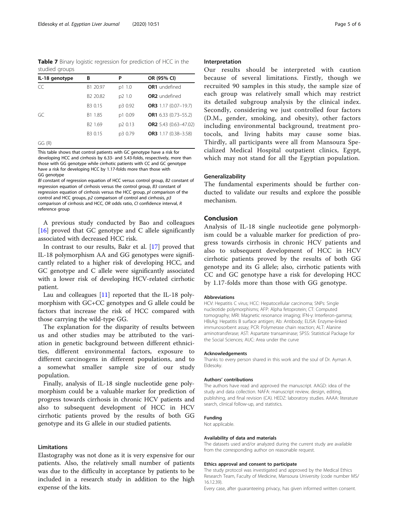<span id="page-4-0"></span>Table 7 Binary logistic regression for prediction of HCC in the studied groups

| IL-18 genotype | в                    | Ρ       | OR (95% CI)                |
|----------------|----------------------|---------|----------------------------|
| CC             | B1 20.97             | p1 1.0  | <b>OR1</b> undefined       |
|                | B <sub>2</sub> 20.82 | p2 1.0  | <b>OR2</b> undefined       |
|                | B3 0.15              | p3 0.92 | OR3 $1.17(0.07-19.7)$      |
| GC             | B1 1.85              | p1 0.09 | OR1 $6.33$ $(0.73 - 55.2)$ |
|                | B <sub>2</sub> 1.69  | p2 0.13 | OR2 5.43 (0.63-47.02)      |
|                | B3 0.15              | p3 0.79 | OR3 1.17 (0.38-3.58)       |
| GG (R)         |                      |         |                            |

This table shows that control patients with GC genotype have a risk for developing HCC and cirrhosis by 6.33- and 5.43-folds, respectively, more than those with GG genotype while cirrhotic patients with CC and GC genotype have a risk for developing HCC by 1.17-folds more than those with GG genotype

Bl constant of regression equation of HCC versus control group, B2 constant of regression equation of cirrhosis versus the control group, B3 constant of regression equation of cirrhosis versus the HCC group, pl comparison of the control and HCC groups, p2 comparison of control and cirrhosis, p3 comparison of cirrhosis and HCC, OR odds ratio, CI confidence interval, R reference group

A previous study conducted by Bao and colleagues [[16\]](#page-5-0) proved that GC genotype and C allele significantly associated with decreased HCC risk.

In contrast to our results, Bakr et al. [[17\]](#page-5-0) proved that IL-18 polymorphism AA and GG genotypes were significantly related to a higher risk of developing HCC, and GC genotype and C allele were significantly associated with a lower risk of developing HCV-related cirrhotic patient.

Lau and colleagues [\[11](#page-5-0)] reported that the IL-18 polymorphism with GC+CC genotypes and G allele could be factors that increase the risk of HCC compared with those carrying the wild-type GG.

The explanation for the disparity of results between us and other studies may be attributed to the variation in genetic background between different ethnicities, different environmental factors, exposure to different carcinogens in different populations, and to a somewhat smaller sample size of our study population.

Finally, analysis of IL-18 single nucleotide gene polymorphism could be a valuable marker for prediction of progress towards cirrhosis in chronic HCV patients and also to subsequent development of HCC in HCV cirrhotic patients proved by the results of both GG genotype and its G allele in our studied patients.

#### Limitations

Elastography was not done as it is very expensive for our patients. Also, the relatively small number of patients was due to the difficulty in acceptance by patients to be included in a research study in addition to the high expense of the kits.

#### Interpretation

Our results should be interpreted with caution because of several limitations. Firstly, though we recruited 90 samples in this study, the sample size of each group was relatively small which may restrict its detailed subgroup analysis by the clinical index. Secondly, considering we just controlled four factors (D.M., gender, smoking, and obesity), other factors including environmental background, treatment protocols, and living habits may cause some bias. Thirdly, all participants were all from Mansoura Specialized Medical Hospital outpatient clinics, Egypt, which may not stand for all the Egyptian population.

#### Generalizability

The fundamental experiments should be further conducted to validate our results and explore the possible mechanism.

#### Conclusion

Analysis of IL-18 single nucleotide gene polymorphism could be a valuable marker for prediction of progress towards cirrhosis in chronic HCV patients and also to subsequent development of HCC in HCV cirrhotic patients proved by the results of both GG genotype and its G allele; also, cirrhotic patients with CC and GC genotype have a risk for developing HCC by 1.17-folds more than those with GG genotype.

#### Abbreviations

HCV: Hepatitis C virus; HCC: Hepatocellular carcinoma; SNPs: Single nucleotide polymorphisms; AFP: Alpha fetoprotein; CT: Computed tomography; MRI: Magnetic resonance imaging; IFN-γ: Interferon-gamma; HBsAg: Hepatitis B surface antigen; Ab: Antibody; ELISA: Enzyme-linked immunosorbent assay; PCR: Polymerase chain reaction; ALT: Alanine aminotransferase; AST: Aspartate transaminase; SPSS: Statistical Package for the Social Sciences; AUC: Area under the curve

#### Acknowledgements

Thanks to every person shared in this work and the soul of Dr. Ayman A. Eldesoky.

#### Authors' contributions

The authors have read and approved the manuscript. AAGD: idea of the study and data collection. NAFA: manuscript review, design, editing, publishing, and final revision (CA). HEDZ: laboratory studies. AAAA: literature search, clinical follow-up, and statistics.

#### Funding

Not applicable.

#### Availability of data and materials

The datasets used and/or analyzed during the current study are available from the corresponding author on reasonable request.

#### Ethics approval and consent to participate

The study protocol was investigated and approved by the Medical Ethics Research Team, Faculty of Medicine, Mansoura University (code number MS/ 16.12.39).

Every case, after guaranteeing privacy, has given informed written consent.